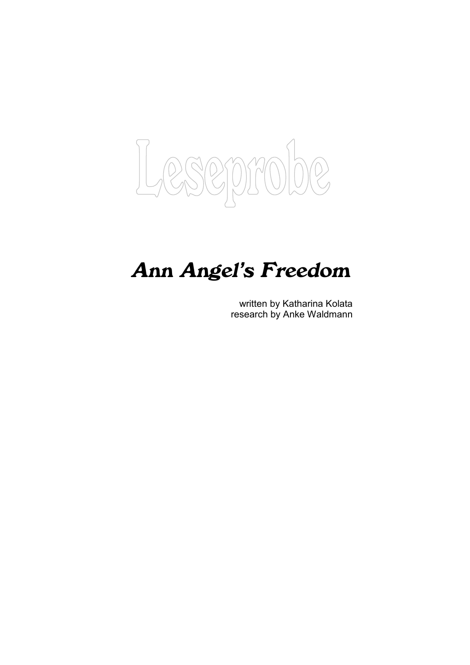

## **Ann Angel's Freedom**

written by Katharina Kolata research by Anke Waldmann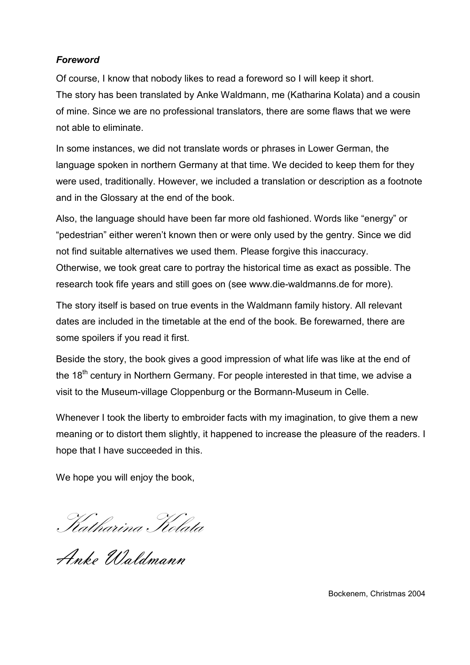## *Foreword*

Of course, I know that nobody likes to read a foreword so I will keep it short. The story has been translated by Anke Waldmann, me (Katharina Kolata) and a cousin of mine. Since we are no professional translators, there are some flaws that we were not able to eliminate.

In some instances, we did not translate words or phrases in Lower German, the language spoken in northern Germany at that time. We decided to keep them for they were used, traditionally. However, we included a translation or description as a footnote and in the Glossary at the end of the book.

Also, the language should have been far more old fashioned. Words like "energy" or "pedestrian" either weren't known then or were only used by the gentry. Since we did not find suitable alternatives we used them. Please forgive this inaccuracy. Otherwise, we took great care to portray the historical time as exact as possible. The research took fife years and still goes on (see www.die-waldmanns.de for more).

The story itself is based on true events in the Waldmann family history. All relevant dates are included in the timetable at the end of the book. Be forewarned, there are some spoilers if you read it first.

Beside the story, the book gives a good impression of what life was like at the end of the 18<sup>th</sup> century in Northern Germany. For people interested in that time, we advise a visit to the Museum-village Cloppenburg or the Bormann-Museum in Celle.

Whenever I took the liberty to embroider facts with my imagination, to give them a new meaning or to distort them slightly, it happened to increase the pleasure of the readers. I hope that I have succeeded in this.

We hope you will enjoy the book,

Katharina Kolata

Anke Waldmann

Bockenem, Christmas 2004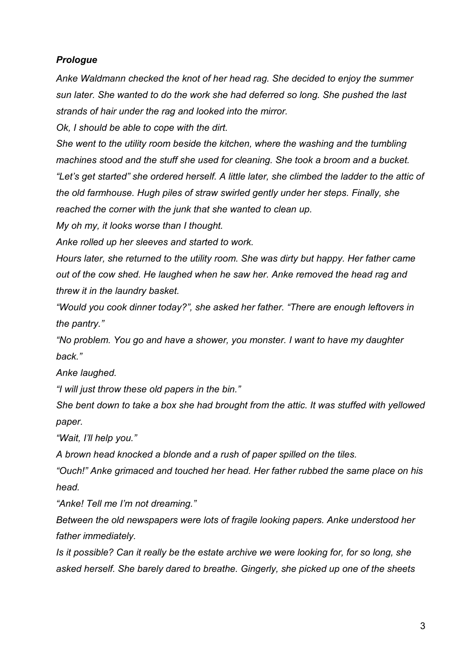## *Prologue*

*Anke Waldmann checked the knot of her head rag. She decided to enjoy the summer sun later. She wanted to do the work she had deferred so long. She pushed the last strands of hair under the rag and looked into the mirror.*

*Ok, I should be able to cope with the dirt.*

*She went to the utility room beside the kitchen, where the washing and the tumbling machines stood and the stuff she used for cleaning. She took a broom and a bucket. "Let's get started" she ordered herself. A little later, she climbed the ladder to the attic of the old farmhouse. Hugh piles of straw swirled gently under her steps. Finally, she reached the corner with the junk that she wanted to clean up.*

*My oh my, it looks worse than I thought.*

*Anke rolled up her sleeves and started to work.*

*Hours later, she returned to the utility room. She was dirty but happy. Her father came out of the cow shed. He laughed when he saw her. Anke removed the head rag and threw it in the laundry basket.*

*"Would you cook dinner today?", she asked her father. "There are enough leftovers in the pantry."*

*"No problem. You go and have a shower, you monster. I want to have my daughter back."*

*Anke laughed.*

*"I will just throw these old papers in the bin."*

*She bent down to take a box she had brought from the attic. It was stuffed with yellowed paper.*

*"Wait, I'll help you."*

*A brown head knocked a blonde and a rush of paper spilled on the tiles.*

*"Ouch!" Anke grimaced and touched her head. Her father rubbed the same place on his head.*

*"Anke! Tell me I'm not dreaming."*

*Between the old newspapers were lots of fragile looking papers. Anke understood her father immediately.*

*Is it possible? Can it really be the estate archive we were looking for, for so long, she asked herself. She barely dared to breathe. Gingerly, she picked up one of the sheets*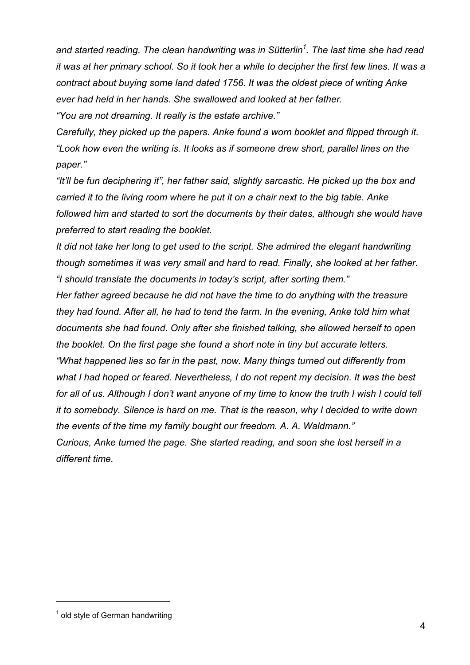*and started reading. The clean handwriting was in Sütterlin<sup>1</sup> . The last time she had read it was at her primary school. So it took her a while to decipher the first few lines. It was a contract about buying some land dated 1756. It was the oldest piece of writing Anke ever had held in her hands. She swallowed and looked at her father.*

*"You are not dreaming. It really is the estate archive."*

*Carefully, they picked up the papers. Anke found a worn booklet and flipped through it. "Look how even the writing is. It looks as if someone drew short, parallel lines on the paper."*

*"It'll be fun deciphering it", her father said, slightly sarcastic. He picked up the box and carried it to the living room where he put it on a chair next to the big table. Anke followed him and started to sort the documents by their dates, although she would have preferred to start reading the booklet.*

*It did not take her long to get used to the script. She admired the elegant handwriting though sometimes it was very small and hard to read. Finally, she looked at her father. "I should translate the documents in today's script, after sorting them."*

*Her father agreed because he did not have the time to do anything with the treasure they had found. After all, he had to tend the farm. In the evening, Anke told him what documents she had found. Only after she finished talking, she allowed herself to open the booklet. On the first page she found a short note in tiny but accurate letters.*

*"What happened lies so far in the past, now. Many things turned out differently from what I had hoped or feared. Nevertheless, I do not repent my decision. It was the best for all of us. Although I don't want anyone of my time to know the truth I wish I could tell it to somebody. Silence is hard on me. That is the reason, why I decided to write down the events of the time my family bought our freedom. A. A. Waldmann."*

*Curious, Anke turned the page. She started reading, and soon she lost herself in a different time.*

 $<sup>1</sup>$  old style of German handwriting</sup>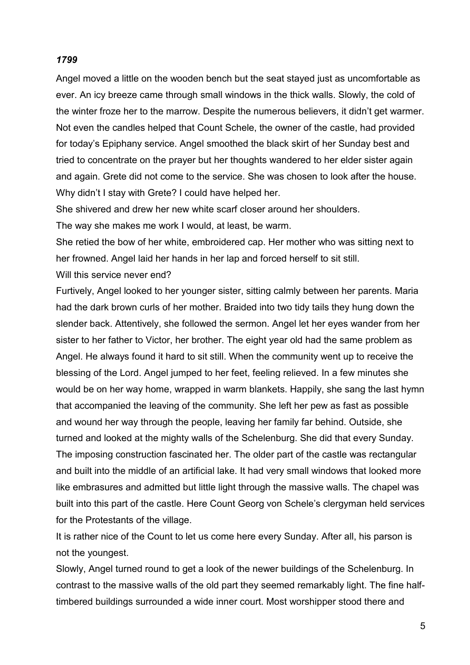## *1799*

Angel moved a little on the wooden bench but the seat stayed just as uncomfortable as ever. An icy breeze came through small windows in the thick walls. Slowly, the cold of the winter froze her to the marrow. Despite the numerous believers, it didn't get warmer. Not even the candles helped that Count Schele, the owner of the castle, had provided for today's Epiphany service. Angel smoothed the black skirt of her Sunday best and tried to concentrate on the prayer but her thoughts wandered to her elder sister again and again. Grete did not come to the service. She was chosen to look after the house. Why didn't I stay with Grete? I could have helped her.

She shivered and drew her new white scarf closer around her shoulders.

The way she makes me work I would, at least, be warm.

She retied the bow of her white, embroidered cap. Her mother who was sitting next to her frowned. Angel laid her hands in her lap and forced herself to sit still. Will this service never end?

Furtively, Angel looked to her younger sister, sitting calmly between her parents. Maria had the dark brown curls of her mother. Braided into two tidy tails they hung down the slender back. Attentively, she followed the sermon. Angel let her eyes wander from her sister to her father to Victor, her brother. The eight year old had the same problem as Angel. He always found it hard to sit still. When the community went up to receive the blessing of the Lord. Angel jumped to her feet, feeling relieved. In a few minutes she would be on her way home, wrapped in warm blankets. Happily, she sang the last hymn that accompanied the leaving of the community. She left her pew as fast as possible and wound her way through the people, leaving her family far behind. Outside, she turned and looked at the mighty walls of the Schelenburg. She did that every Sunday. The imposing construction fascinated her. The older part of the castle was rectangular and built into the middle of an artificial lake. It had very small windows that looked more like embrasures and admitted but little light through the massive walls. The chapel was built into this part of the castle. Here Count Georg von Schele's clergyman held services for the Protestants of the village.

It is rather nice of the Count to let us come here every Sunday. After all, his parson is not the youngest.

Slowly, Angel turned round to get a look of the newer buildings of the Schelenburg. In contrast to the massive walls of the old part they seemed remarkably light. The fine halftimbered buildings surrounded a wide inner court. Most worshipper stood there and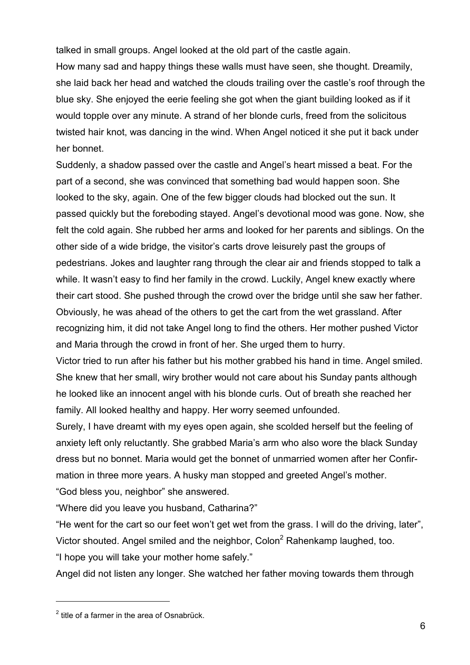talked in small groups. Angel looked at the old part of the castle again. How many sad and happy things these walls must have seen, she thought. Dreamily, she laid back her head and watched the clouds trailing over the castle's roof through the blue sky. She enjoyed the eerie feeling she got when the giant building looked as if it would topple over any minute. A strand of her blonde curls, freed from the solicitous twisted hair knot, was dancing in the wind. When Angel noticed it she put it back under her bonnet.

Suddenly, a shadow passed over the castle and Angel's heart missed a beat. For the part of a second, she was convinced that something bad would happen soon. She looked to the sky, again. One of the few bigger clouds had blocked out the sun. It passed quickly but the foreboding stayed. Angel's devotional mood was gone. Now, she felt the cold again. She rubbed her arms and looked for her parents and siblings. On the other side of a wide bridge, the visitor's carts drove leisurely past the groups of pedestrians. Jokes and laughter rang through the clear air and friends stopped to talk a while. It wasn't easy to find her family in the crowd. Luckily, Angel knew exactly where their cart stood. She pushed through the crowd over the bridge until she saw her father. Obviously, he was ahead of the others to get the cart from the wet grassland. After recognizing him, it did not take Angel long to find the others. Her mother pushed Victor and Maria through the crowd in front of her. She urged them to hurry.

Victor tried to run after his father but his mother grabbed his hand in time. Angel smiled. She knew that her small, wiry brother would not care about his Sunday pants although he looked like an innocent angel with his blonde curls. Out of breath she reached her family. All looked healthy and happy. Her worry seemed unfounded.

Surely, I have dreamt with my eyes open again, she scolded herself but the feeling of anxiety left only reluctantly. She grabbed Maria's arm who also wore the black Sunday dress but no bonnet. Maria would get the bonnet of unmarried women after her Confirmation in three more years. A husky man stopped and greeted Angel's mother. "God bless you, neighbor" she answered.

"Where did you leave you husband, Catharina?"

"He went for the cart so our feet won't get wet from the grass. I will do the driving, later", Victor shouted. Angel smiled and the neighbor, Colon<sup>2</sup> Rahenkamp laughed, too. "I hope you will take your mother home safely."

Angel did not listen any longer. She watched her father moving towards them through

 $2$  title of a farmer in the area of Osnabrück.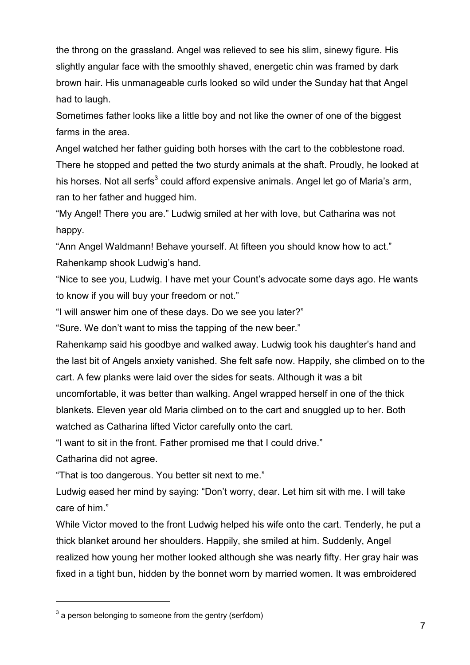the throng on the grassland. Angel was relieved to see his slim, sinewy figure. His slightly angular face with the smoothly shaved, energetic chin was framed by dark brown hair. His unmanageable curls looked so wild under the Sunday hat that Angel had to laugh.

Sometimes father looks like a little boy and not like the owner of one of the biggest farms in the area.

Angel watched her father guiding both horses with the cart to the cobblestone road. There he stopped and petted the two sturdy animals at the shaft. Proudly, he looked at his horses. Not all serfs $^3$  could afford expensive animals. Angel let go of Maria's arm, ran to her father and hugged him.

"My Angel! There you are." Ludwig smiled at her with love, but Catharina was not happy.

"Ann Angel Waldmann! Behave yourself. At fifteen you should know how to act." Rahenkamp shook Ludwig's hand.

"Nice to see you, Ludwig. I have met your Count's advocate some days ago. He wants to know if you will buy your freedom or not."

"I will answer him one of these days. Do we see you later?"

"Sure. We don't want to miss the tapping of the new beer."

Rahenkamp said his goodbye and walked away. Ludwig took his daughter's hand and the last bit of Angels anxiety vanished. She felt safe now. Happily, she climbed on to the cart. A few planks were laid over the sides for seats. Although it was a bit uncomfortable, it was better than walking. Angel wrapped herself in one of the thick blankets. Eleven year old Maria climbed on to the cart and snuggled up to her. Both watched as Catharina lifted Victor carefully onto the cart.

"I want to sit in the front. Father promised me that I could drive."

Catharina did not agree.

l

"That is too dangerous. You better sit next to me."

Ludwig eased her mind by saying: "Don't worry, dear. Let him sit with me. I will take care of him."

While Victor moved to the front Ludwig helped his wife onto the cart. Tenderly, he put a thick blanket around her shoulders. Happily, she smiled at him. Suddenly, Angel realized how young her mother looked although she was nearly fifty. Her gray hair was fixed in a tight bun, hidden by the bonnet worn by married women. It was embroidered

 $3$  a person belonging to someone from the gentry (serfdom)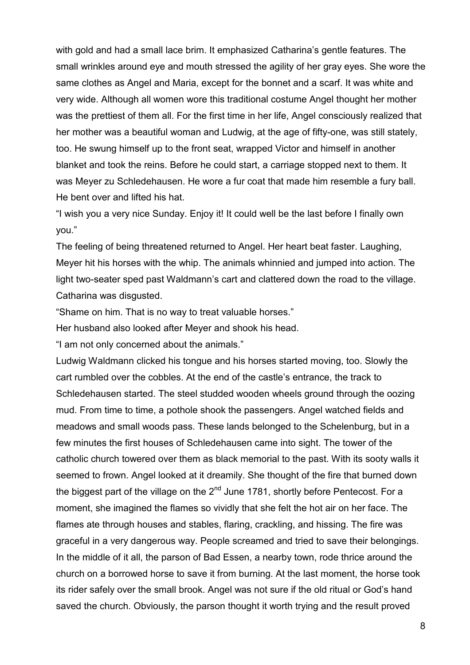with gold and had a small lace brim. It emphasized Catharina's gentle features. The small wrinkles around eye and mouth stressed the agility of her gray eyes. She wore the same clothes as Angel and Maria, except for the bonnet and a scarf. It was white and very wide. Although all women wore this traditional costume Angel thought her mother was the prettiest of them all. For the first time in her life, Angel consciously realized that her mother was a beautiful woman and Ludwig, at the age of fifty-one, was still stately, too. He swung himself up to the front seat, wrapped Victor and himself in another blanket and took the reins. Before he could start, a carriage stopped next to them. It was Meyer zu Schledehausen. He wore a fur coat that made him resemble a fury ball. He bent over and lifted his hat.

"I wish you a very nice Sunday. Enjoy it! It could well be the last before I finally own you."

The feeling of being threatened returned to Angel. Her heart beat faster. Laughing, Meyer hit his horses with the whip. The animals whinnied and jumped into action. The light two-seater sped past Waldmann's cart and clattered down the road to the village. Catharina was disgusted.

"Shame on him. That is no way to treat valuable horses."

Her husband also looked after Meyer and shook his head.

"I am not only concerned about the animals."

Ludwig Waldmann clicked his tongue and his horses started moving, too. Slowly the cart rumbled over the cobbles. At the end of the castle's entrance, the track to Schledehausen started. The steel studded wooden wheels ground through the oozing mud. From time to time, a pothole shook the passengers. Angel watched fields and meadows and small woods pass. These lands belonged to the Schelenburg, but in a few minutes the first houses of Schledehausen came into sight. The tower of the catholic church towered over them as black memorial to the past. With its sooty walls it seemed to frown. Angel looked at it dreamily. She thought of the fire that burned down the biggest part of the village on the  $2<sup>nd</sup>$  June 1781, shortly before Pentecost. For a moment, she imagined the flames so vividly that she felt the hot air on her face. The flames ate through houses and stables, flaring, crackling, and hissing. The fire was graceful in a very dangerous way. People screamed and tried to save their belongings. In the middle of it all, the parson of Bad Essen, a nearby town, rode thrice around the church on a borrowed horse to save it from burning. At the last moment, the horse took its rider safely over the small brook. Angel was not sure if the old ritual or God's hand saved the church. Obviously, the parson thought it worth trying and the result proved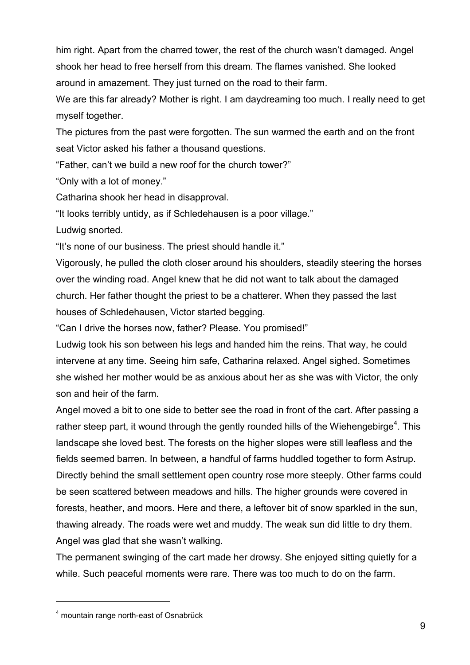him right. Apart from the charred tower, the rest of the church wasn't damaged. Angel shook her head to free herself from this dream. The flames vanished. She looked around in amazement. They just turned on the road to their farm.

We are this far already? Mother is right. I am daydreaming too much. I really need to get myself together.

The pictures from the past were forgotten. The sun warmed the earth and on the front seat Victor asked his father a thousand questions.

"Father, can't we build a new roof for the church tower?"

"Only with a lot of money."

Catharina shook her head in disapproval.

"It looks terribly untidy, as if Schledehausen is a poor village."

Ludwig snorted.

"It's none of our business. The priest should handle it."

Vigorously, he pulled the cloth closer around his shoulders, steadily steering the horses over the winding road. Angel knew that he did not want to talk about the damaged church. Her father thought the priest to be a chatterer. When they passed the last houses of Schledehausen, Victor started begging.

"Can I drive the horses now, father? Please. You promised!"

Ludwig took his son between his legs and handed him the reins. That way, he could intervene at any time. Seeing him safe, Catharina relaxed. Angel sighed. Sometimes she wished her mother would be as anxious about her as she was with Victor, the only son and heir of the farm.

Angel moved a bit to one side to better see the road in front of the cart. After passing a rather steep part, it wound through the gently rounded hills of the Wiehengebirge<sup>4</sup>. This landscape she loved best. The forests on the higher slopes were still leafless and the fields seemed barren. In between, a handful of farms huddled together to form Astrup. Directly behind the small settlement open country rose more steeply. Other farms could be seen scattered between meadows and hills. The higher grounds were covered in forests, heather, and moors. Here and there, a leftover bit of snow sparkled in the sun, thawing already. The roads were wet and muddy. The weak sun did little to dry them. Angel was glad that she wasn't walking.

The permanent swinging of the cart made her drowsy. She enjoyed sitting quietly for a while. Such peaceful moments were rare. There was too much to do on the farm.

<sup>4</sup> mountain range north-east of Osnabrück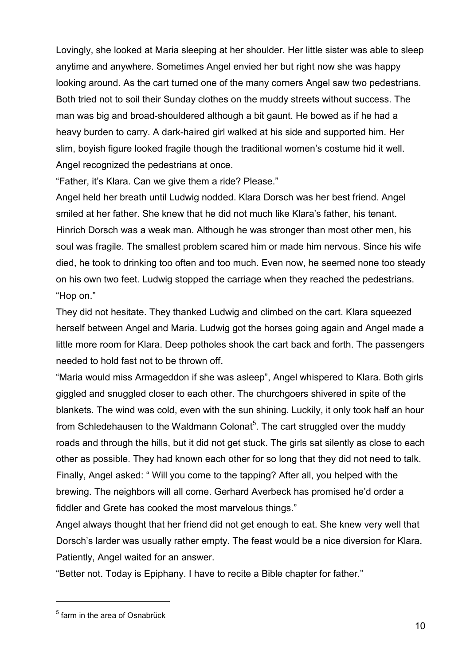Lovingly, she looked at Maria sleeping at her shoulder. Her little sister was able to sleep anytime and anywhere. Sometimes Angel envied her but right now she was happy looking around. As the cart turned one of the many corners Angel saw two pedestrians. Both tried not to soil their Sunday clothes on the muddy streets without success. The man was big and broad-shouldered although a bit gaunt. He bowed as if he had a heavy burden to carry. A dark-haired girl walked at his side and supported him. Her slim, boyish figure looked fragile though the traditional women's costume hid it well. Angel recognized the pedestrians at once.

"Father, it's Klara. Can we give them a ride? Please."

Angel held her breath until Ludwig nodded. Klara Dorsch was her best friend. Angel smiled at her father. She knew that he did not much like Klara's father, his tenant. Hinrich Dorsch was a weak man. Although he was stronger than most other men, his soul was fragile. The smallest problem scared him or made him nervous. Since his wife died, he took to drinking too often and too much. Even now, he seemed none too steady on his own two feet. Ludwig stopped the carriage when they reached the pedestrians. "Hop on."

They did not hesitate. They thanked Ludwig and climbed on the cart. Klara squeezed herself between Angel and Maria. Ludwig got the horses going again and Angel made a little more room for Klara. Deep potholes shook the cart back and forth. The passengers needed to hold fast not to be thrown off.

"Maria would miss Armageddon if she was asleep", Angel whispered to Klara. Both girls giggled and snuggled closer to each other. The churchgoers shivered in spite of the blankets. The wind was cold, even with the sun shining. Luckily, it only took half an hour from Schledehausen to the Waldmann Colonat<sup>5</sup>. The cart struggled over the muddy roads and through the hills, but it did not get stuck. The girls sat silently as close to each other as possible. They had known each other for so long that they did not need to talk. Finally, Angel asked: " Will you come to the tapping? After all, you helped with the brewing. The neighbors will all come. Gerhard Averbeck has promised he'd order a fiddler and Grete has cooked the most marvelous things."

Angel always thought that her friend did not get enough to eat. She knew very well that Dorsch's larder was usually rather empty. The feast would be a nice diversion for Klara. Patiently, Angel waited for an answer.

"Better not. Today is Epiphany. I have to recite a Bible chapter for father."

<sup>&</sup>lt;sup>5</sup> farm in the area of Osnabrück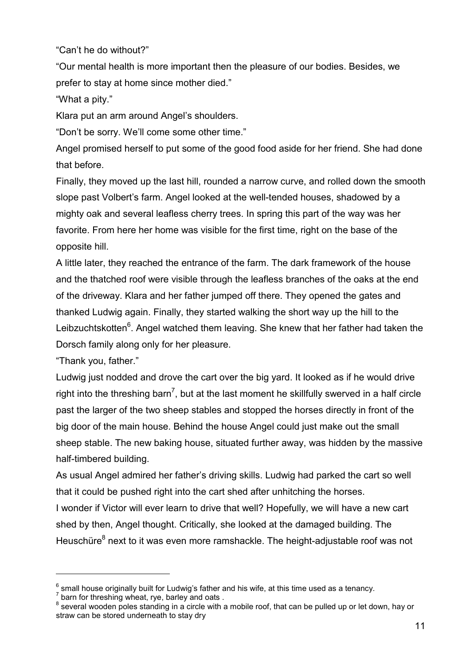"Can't he do without?"

"Our mental health is more important then the pleasure of our bodies. Besides, we prefer to stay at home since mother died."

"What a pity."

Klara put an arm around Angel's shoulders.

"Don't be sorry. We'll come some other time."

Angel promised herself to put some of the good food aside for her friend. She had done that before.

Finally, they moved up the last hill, rounded a narrow curve, and rolled down the smooth slope past Volbert's farm. Angel looked at the well-tended houses, shadowed by a mighty oak and several leafless cherry trees. In spring this part of the way was her favorite. From here her home was visible for the first time, right on the base of the opposite hill.

A little later, they reached the entrance of the farm. The dark framework of the house and the thatched roof were visible through the leafless branches of the oaks at the end of the driveway. Klara and her father jumped off there. They opened the gates and thanked Ludwig again. Finally, they started walking the short way up the hill to the Leibzuchtskotten<sup>6</sup>. Angel watched them leaving. She knew that her father had taken the Dorsch family along only for her pleasure.

"Thank you, father."

l

Ludwig just nodded and drove the cart over the big yard. It looked as if he would drive right into the threshing barn<sup>7</sup>, but at the last moment he skillfully swerved in a half circle past the larger of the two sheep stables and stopped the horses directly in front of the big door of the main house. Behind the house Angel could just make out the small sheep stable. The new baking house, situated further away, was hidden by the massive half-timbered building.

As usual Angel admired her father's driving skills. Ludwig had parked the cart so well that it could be pushed right into the cart shed after unhitching the horses.

I wonder if Victor will ever learn to drive that well? Hopefully, we will have a new cart shed by then, Angel thought. Critically, she looked at the damaged building. The Heuschüre<sup>8</sup> next to it was even more ramshackle. The height-adjustable roof was not

 $^6$  small house originally built for Ludwig's father and his wife, at this time used as a tenancy.<br><sup>7</sup> barn for threshing wheat, rye, barley and oats .

 $^8$  several wooden poles standing in a circle with a mobile roof, that can be pulled up or let down, hay or straw can be stored underneath to stay dry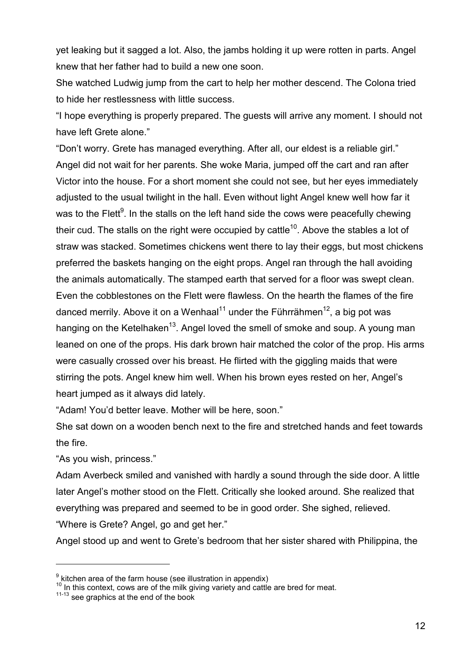yet leaking but it sagged a lot. Also, the jambs holding it up were rotten in parts. Angel knew that her father had to build a new one soon.

She watched Ludwig jump from the cart to help her mother descend. The Colona tried to hide her restlessness with little success.

"I hope everything is properly prepared. The guests will arrive any moment. I should not have left Grete alone."

"Don't worry. Grete has managed everything. After all, our eldest is a reliable girl." Angel did not wait for her parents. She woke Maria, jumped off the cart and ran after Victor into the house. For a short moment she could not see, but her eyes immediately adjusted to the usual twilight in the hall. Even without light Angel knew well how far it was to the Flett $^9$ . In the stalls on the left hand side the cows were peacefully chewing their cud. The stalls on the right were occupied by cattle<sup>10</sup>. Above the stables a lot of straw was stacked. Sometimes chickens went there to lay their eggs, but most chickens preferred the baskets hanging on the eight props. Angel ran through the hall avoiding the animals automatically. The stamped earth that served for a floor was swept clean. Even the cobblestones on the Flett were flawless. On the hearth the flames of the fire danced merrily. Above it on a Wenhaal<sup>11</sup> under the Führrähmen<sup>12</sup>, a big pot was hanging on the Ketelhaken<sup>13</sup>. Angel loved the smell of smoke and soup. A young man leaned on one of the props. His dark brown hair matched the color of the prop. His arms were casually crossed over his breast. He flirted with the giggling maids that were stirring the pots. Angel knew him well. When his brown eyes rested on her, Angel's heart jumped as it always did lately.

"Adam! You'd better leave. Mother will be here, soon."

She sat down on a wooden bench next to the fire and stretched hands and feet towards the fire.

"As you wish, princess."

l

Adam Averbeck smiled and vanished with hardly a sound through the side door. A little later Angel's mother stood on the Flett. Critically she looked around. She realized that everything was prepared and seemed to be in good order. She sighed, relieved. "Where is Grete? Angel, go and get her."

Angel stood up and went to Grete's bedroom that her sister shared with Philippina, the

 $9$  kitchen area of the farm house (see illustration in appendix)

 $10$  In this context, cows are of the milk giving variety and cattle are bred for meat.

 $11-13$  see graphics at the end of the book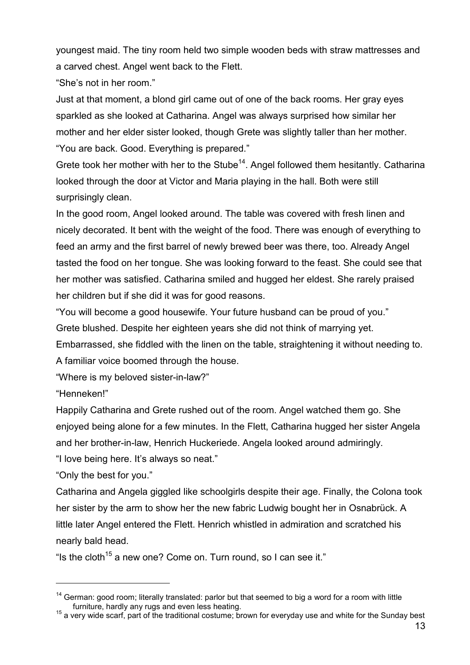youngest maid. The tiny room held two simple wooden beds with straw mattresses and a carved chest. Angel went back to the Flett.

"She's not in her room."

Just at that moment, a blond girl came out of one of the back rooms. Her gray eyes sparkled as she looked at Catharina. Angel was always surprised how similar her mother and her elder sister looked, though Grete was slightly taller than her mother. "You are back. Good. Everything is prepared."

Grete took her mother with her to the Stube<sup>14</sup>. Angel followed them hesitantly. Catharina looked through the door at Victor and Maria playing in the hall. Both were still surprisingly clean.

In the good room, Angel looked around. The table was covered with fresh linen and nicely decorated. It bent with the weight of the food. There was enough of everything to feed an army and the first barrel of newly brewed beer was there, too. Already Angel tasted the food on her tongue. She was looking forward to the feast. She could see that her mother was satisfied. Catharina smiled and hugged her eldest. She rarely praised her children but if she did it was for good reasons.

"You will become a good housewife. Your future husband can be proud of you."

Grete blushed. Despite her eighteen years she did not think of marrying yet.

Embarrassed, she fiddled with the linen on the table, straightening it without needing to. A familiar voice boomed through the house.

"Where is my beloved sister-in-law?"

"Henneken!"

l

Happily Catharina and Grete rushed out of the room. Angel watched them go. She enjoyed being alone for a few minutes. In the Flett, Catharina hugged her sister Angela and her brother-in-law, Henrich Huckeriede. Angela looked around admiringly.

"I love being here. It's always so neat."

"Only the best for you."

Catharina and Angela giggled like schoolgirls despite their age. Finally, the Colona took her sister by the arm to show her the new fabric Ludwig bought her in Osnabrück. A little later Angel entered the Flett. Henrich whistled in admiration and scratched his nearly bald head.

"Is the cloth<sup>15</sup> a new one? Come on. Turn round, so I can see it."

<sup>&</sup>lt;sup>14</sup> German: good room; literally translated: parlor but that seemed to big a word for a room with little furniture, hardly any rugs and even less heating.

furniture, hardly any rugs and even less heating. 15 a very wide scarf, part of the traditional costume; brown for everyday use and white for the Sunday best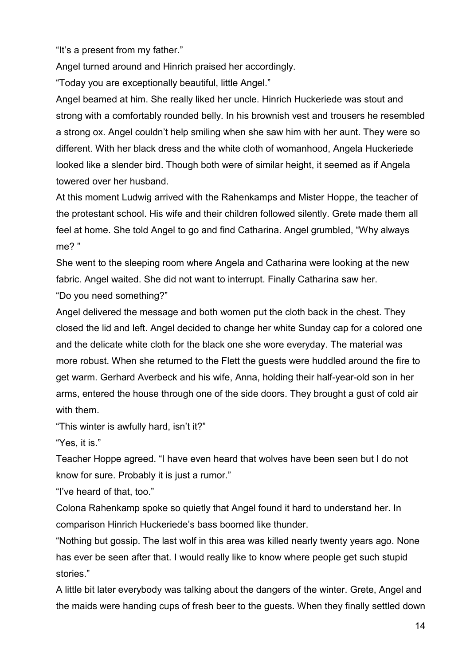"It's a present from my father."

Angel turned around and Hinrich praised her accordingly.

"Today you are exceptionally beautiful, little Angel."

Angel beamed at him. She really liked her uncle. Hinrich Huckeriede was stout and strong with a comfortably rounded belly. In his brownish vest and trousers he resembled a strong ox. Angel couldn't help smiling when she saw him with her aunt. They were so different. With her black dress and the white cloth of womanhood, Angela Huckeriede looked like a slender bird. Though both were of similar height, it seemed as if Angela towered over her husband.

At this moment Ludwig arrived with the Rahenkamps and Mister Hoppe, the teacher of the protestant school. His wife and their children followed silently. Grete made them all feel at home. She told Angel to go and find Catharina. Angel grumbled, "Why always me? "

She went to the sleeping room where Angela and Catharina were looking at the new fabric. Angel waited. She did not want to interrupt. Finally Catharina saw her. "Do you need something?"

Angel delivered the message and both women put the cloth back in the chest. They closed the lid and left. Angel decided to change her white Sunday cap for a colored one and the delicate white cloth for the black one she wore everyday. The material was more robust. When she returned to the Flett the guests were huddled around the fire to get warm. Gerhard Averbeck and his wife, Anna, holding their half-year-old son in her arms, entered the house through one of the side doors. They brought a gust of cold air with them.

"This winter is awfully hard, isn't it?"

"Yes, it is."

Teacher Hoppe agreed. "I have even heard that wolves have been seen but I do not know for sure. Probably it is just a rumor."

"I've heard of that, too."

Colona Rahenkamp spoke so quietly that Angel found it hard to understand her. In comparison Hinrich Huckeriede's bass boomed like thunder.

"Nothing but gossip. The last wolf in this area was killed nearly twenty years ago. None has ever be seen after that. I would really like to know where people get such stupid stories."

A little bit later everybody was talking about the dangers of the winter. Grete, Angel and the maids were handing cups of fresh beer to the guests. When they finally settled down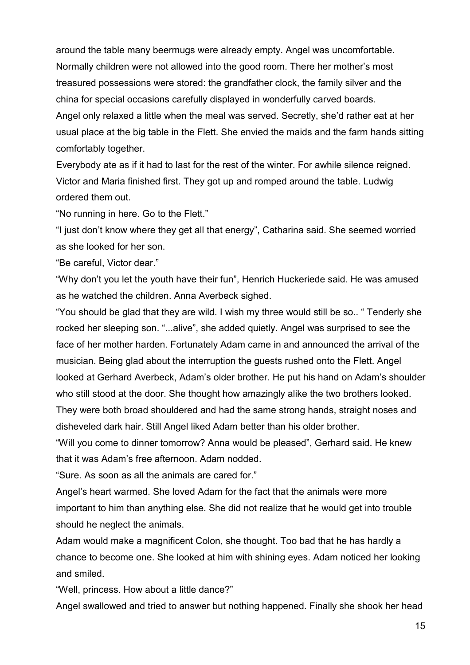around the table many beermugs were already empty. Angel was uncomfortable. Normally children were not allowed into the good room. There her mother's most treasured possessions were stored: the grandfather clock, the family silver and the china for special occasions carefully displayed in wonderfully carved boards. Angel only relaxed a little when the meal was served. Secretly, she'd rather eat at her

usual place at the big table in the Flett. She envied the maids and the farm hands sitting comfortably together.

Everybody ate as if it had to last for the rest of the winter. For awhile silence reigned. Victor and Maria finished first. They got up and romped around the table. Ludwig ordered them out.

"No running in here. Go to the Flett."

"I just don't know where they get all that energy", Catharina said. She seemed worried as she looked for her son.

"Be careful, Victor dear."

"Why don't you let the youth have their fun", Henrich Huckeriede said. He was amused as he watched the children. Anna Averbeck sighed.

"You should be glad that they are wild. I wish my three would still be so.. " Tenderly she rocked her sleeping son. "...alive", she added quietly. Angel was surprised to see the face of her mother harden. Fortunately Adam came in and announced the arrival of the musician. Being glad about the interruption the guests rushed onto the Flett. Angel looked at Gerhard Averbeck, Adam's older brother. He put his hand on Adam's shoulder who still stood at the door. She thought how amazingly alike the two brothers looked. They were both broad shouldered and had the same strong hands, straight noses and

disheveled dark hair. Still Angel liked Adam better than his older brother.

"Will you come to dinner tomorrow? Anna would be pleased", Gerhard said. He knew that it was Adam's free afternoon. Adam nodded.

"Sure. As soon as all the animals are cared for."

Angel's heart warmed. She loved Adam for the fact that the animals were more important to him than anything else. She did not realize that he would get into trouble should he neglect the animals.

Adam would make a magnificent Colon, she thought. Too bad that he has hardly a chance to become one. She looked at him with shining eyes. Adam noticed her looking and smiled.

"Well, princess. How about a little dance?"

Angel swallowed and tried to answer but nothing happened. Finally she shook her head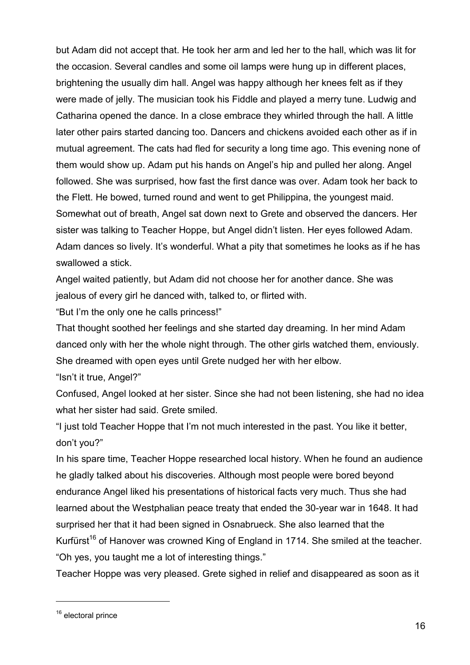but Adam did not accept that. He took her arm and led her to the hall, which was lit for the occasion. Several candles and some oil lamps were hung up in different places, brightening the usually dim hall. Angel was happy although her knees felt as if they were made of jelly. The musician took his Fiddle and played a merry tune. Ludwig and Catharina opened the dance. In a close embrace they whirled through the hall. A little later other pairs started dancing too. Dancers and chickens avoided each other as if in mutual agreement. The cats had fled for security a long time ago. This evening none of them would show up. Adam put his hands on Angel's hip and pulled her along. Angel followed. She was surprised, how fast the first dance was over. Adam took her back to the Flett. He bowed, turned round and went to get Philippina, the youngest maid. Somewhat out of breath, Angel sat down next to Grete and observed the dancers. Her sister was talking to Teacher Hoppe, but Angel didn't listen. Her eyes followed Adam. Adam dances so lively. It's wonderful. What a pity that sometimes he looks as if he has swallowed a stick.

Angel waited patiently, but Adam did not choose her for another dance. She was jealous of every girl he danced with, talked to, or flirted with.

"But I'm the only one he calls princess!"

That thought soothed her feelings and she started day dreaming. In her mind Adam danced only with her the whole night through. The other girls watched them, enviously. She dreamed with open eyes until Grete nudged her with her elbow.

"Isn't it true, Angel?"

Confused, Angel looked at her sister. Since she had not been listening, she had no idea what her sister had said. Grete smiled.

"I just told Teacher Hoppe that I'm not much interested in the past. You like it better, don't you?"

In his spare time, Teacher Hoppe researched local history. When he found an audience he gladly talked about his discoveries. Although most people were bored beyond endurance Angel liked his presentations of historical facts very much. Thus she had learned about the Westphalian peace treaty that ended the 30-year war in 1648. It had surprised her that it had been signed in Osnabrueck. She also learned that the Kurfürst<sup>16</sup> of Hanover was crowned King of England in 1714. She smiled at the teacher. "Oh yes, you taught me a lot of interesting things."

Teacher Hoppe was very pleased. Grete sighed in relief and disappeared as soon as it

<sup>&</sup>lt;sup>16</sup> electoral prince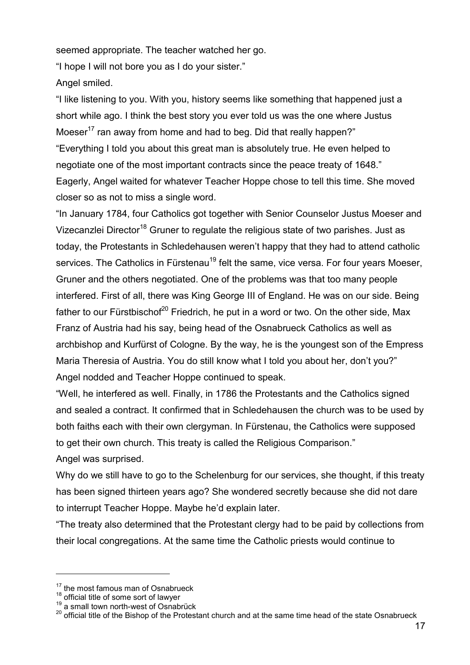seemed appropriate. The teacher watched her go.

"I hope I will not bore you as I do your sister."

Angel smiled.

"I like listening to you. With you, history seems like something that happened just a short while ago. I think the best story you ever told us was the one where Justus Moeser<sup>17</sup> ran away from home and had to beg. Did that really happen?" "Everything I told you about this great man is absolutely true. He even helped to negotiate one of the most important contracts since the peace treaty of 1648." Eagerly, Angel waited for whatever Teacher Hoppe chose to tell this time. She moved closer so as not to miss a single word.

"In January 1784, four Catholics got together with Senior Counselor Justus Moeser and Vizecanzlei Director<sup>18</sup> Gruner to regulate the religious state of two parishes. Just as today, the Protestants in Schledehausen weren't happy that they had to attend catholic services. The Catholics in Fürstenau<sup>19</sup> felt the same, vice versa. For four years Moeser, Gruner and the others negotiated. One of the problems was that too many people interfered. First of all, there was King George III of England. He was on our side. Being father to our Fürstbischof $20$  Friedrich, he put in a word or two. On the other side, Max Franz of Austria had his say, being head of the Osnabrueck Catholics as well as archbishop and Kurfürst of Cologne. By the way, he is the youngest son of the Empress Maria Theresia of Austria. You do still know what I told you about her, don't you?" Angel nodded and Teacher Hoppe continued to speak.

"Well, he interfered as well. Finally, in 1786 the Protestants and the Catholics signed and sealed a contract. It confirmed that in Schledehausen the church was to be used by both faiths each with their own clergyman. In Fürstenau, the Catholics were supposed to get their own church. This treaty is called the Religious Comparison."

Angel was surprised.

l

Why do we still have to go to the Schelenburg for our services, she thought, if this treaty has been signed thirteen years ago? She wondered secretly because she did not dare to interrupt Teacher Hoppe. Maybe he'd explain later.

"The treaty also determined that the Protestant clergy had to be paid by collections from their local congregations. At the same time the Catholic priests would continue to

<sup>&</sup>lt;sup>17</sup> the most famous man of Osnabrueck

 $^{18}$  official title of some sort of lawyer<br> $^{19}$  a small town north-west of Osnabrück

 $^{20}$  official title of the Bishop of the Protestant church and at the same time head of the state Osnabrueck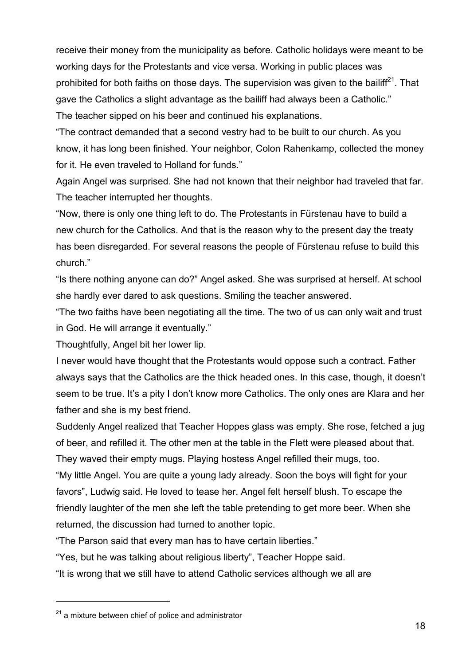receive their money from the municipality as before. Catholic holidays were meant to be working days for the Protestants and vice versa. Working in public places was prohibited for both faiths on those days. The supervision was given to the bailiff<sup>21</sup>. That gave the Catholics a slight advantage as the bailiff had always been a Catholic." The teacher sipped on his beer and continued his explanations.

"The contract demanded that a second vestry had to be built to our church. As you know, it has long been finished. Your neighbor, Colon Rahenkamp, collected the money for it. He even traveled to Holland for funds."

Again Angel was surprised. She had not known that their neighbor had traveled that far. The teacher interrupted her thoughts.

"Now, there is only one thing left to do. The Protestants in Fürstenau have to build a new church for the Catholics. And that is the reason why to the present day the treaty has been disregarded. For several reasons the people of Fürstenau refuse to build this church."

"Is there nothing anyone can do?" Angel asked. She was surprised at herself. At school she hardly ever dared to ask questions. Smiling the teacher answered.

"The two faiths have been negotiating all the time. The two of us can only wait and trust in God. He will arrange it eventually."

Thoughtfully, Angel bit her lower lip.

I never would have thought that the Protestants would oppose such a contract. Father always says that the Catholics are the thick headed ones. In this case, though, it doesn't seem to be true. It's a pity I don't know more Catholics. The only ones are Klara and her father and she is my best friend.

Suddenly Angel realized that Teacher Hoppes glass was empty. She rose, fetched a jug of beer, and refilled it. The other men at the table in the Flett were pleased about that. They waved their empty mugs. Playing hostess Angel refilled their mugs, too.

"My little Angel. You are quite a young lady already. Soon the boys will fight for your favors", Ludwig said. He loved to tease her. Angel felt herself blush. To escape the friendly laughter of the men she left the table pretending to get more beer. When she returned, the discussion had turned to another topic.

"The Parson said that every man has to have certain liberties."

"Yes, but he was talking about religious liberty", Teacher Hoppe said.

"It is wrong that we still have to attend Catholic services although we all are

 $21$  a mixture between chief of police and administrator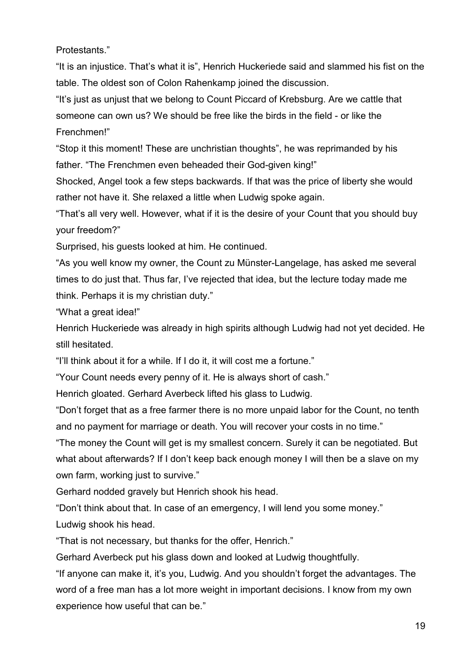Protestants."

"It is an injustice. That's what it is", Henrich Huckeriede said and slammed his fist on the table. The oldest son of Colon Rahenkamp joined the discussion.

"It's just as unjust that we belong to Count Piccard of Krebsburg. Are we cattle that someone can own us? We should be free like the birds in the field - or like the Frenchmen!"

"Stop it this moment! These are unchristian thoughts", he was reprimanded by his father. "The Frenchmen even beheaded their God-given king!"

Shocked, Angel took a few steps backwards. If that was the price of liberty she would rather not have it. She relaxed a little when Ludwig spoke again.

"That's all very well. However, what if it is the desire of your Count that you should buy your freedom?"

Surprised, his guests looked at him. He continued.

"As you well know my owner, the Count zu Münster-Langelage, has asked me several times to do just that. Thus far, I've rejected that idea, but the lecture today made me think. Perhaps it is my christian duty."

"What a great idea!"

Henrich Huckeriede was already in high spirits although Ludwig had not yet decided. He still hesitated.

"I'll think about it for a while. If I do it, it will cost me a fortune."

"Your Count needs every penny of it. He is always short of cash."

Henrich gloated. Gerhard Averbeck lifted his glass to Ludwig.

"Don't forget that as a free farmer there is no more unpaid labor for the Count, no tenth and no payment for marriage or death. You will recover your costs in no time."

"The money the Count will get is my smallest concern. Surely it can be negotiated. But what about afterwards? If I don't keep back enough money I will then be a slave on my own farm, working just to survive."

Gerhard nodded gravely but Henrich shook his head.

"Don't think about that. In case of an emergency, I will lend you some money." Ludwig shook his head.

"That is not necessary, but thanks for the offer, Henrich."

Gerhard Averbeck put his glass down and looked at Ludwig thoughtfully.

"If anyone can make it, it's you, Ludwig. And you shouldn't forget the advantages. The word of a free man has a lot more weight in important decisions. I know from my own experience how useful that can be."